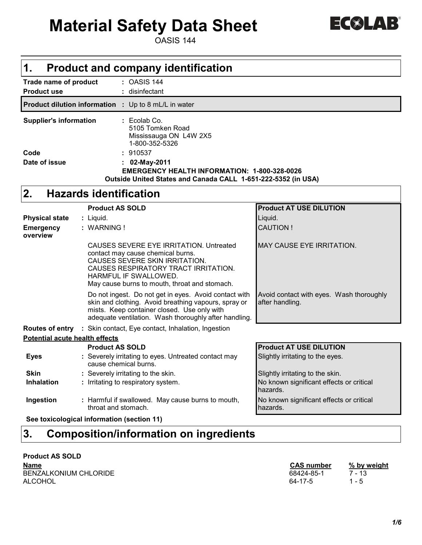# **Material Safety Data Sheet**

OASIS 144

| 17<br>$\overline{\phantom{a}}$<br>n y y |  |
|-----------------------------------------|--|
|-----------------------------------------|--|

| 1.                                         |  |                        | <b>Product and company identification</b>                                                                                                                                                                                        |                                                             |
|--------------------------------------------|--|------------------------|----------------------------------------------------------------------------------------------------------------------------------------------------------------------------------------------------------------------------------|-------------------------------------------------------------|
| Trade name of product                      |  |                        | : OASIS 144                                                                                                                                                                                                                      |                                                             |
| <b>Product use</b>                         |  |                        | disinfectant                                                                                                                                                                                                                     |                                                             |
| <b>Product dilution information :</b>      |  |                        | Up to 8 mL/L in water                                                                                                                                                                                                            |                                                             |
| <b>Supplier's information</b>              |  |                        | $: Ecolab$ Co.<br>5105 Tomken Road<br>Mississauga ON L4W 2X5<br>1-800-352-5326                                                                                                                                                   |                                                             |
| Code                                       |  |                        | : 910537                                                                                                                                                                                                                         |                                                             |
| Date of issue                              |  |                        | 02-May-2011                                                                                                                                                                                                                      |                                                             |
|                                            |  |                        | <b>EMERGENCY HEALTH INFORMATION: 1-800-328-0026</b>                                                                                                                                                                              |                                                             |
|                                            |  |                        | Outside United States and Canada CALL 1-651-222-5352 (in USA)                                                                                                                                                                    |                                                             |
| 2.                                         |  |                        | <b>Hazards identification</b>                                                                                                                                                                                                    |                                                             |
|                                            |  | <b>Product AS SOLD</b> |                                                                                                                                                                                                                                  | <b>Product AT USE DILUTION</b>                              |
| <b>Physical state</b>                      |  | : Liquid.              |                                                                                                                                                                                                                                  | Liquid.                                                     |
| <b>Emergency</b>                           |  | : WARNING!             |                                                                                                                                                                                                                                  | <b>CAUTION!</b>                                             |
| overview                                   |  |                        |                                                                                                                                                                                                                                  |                                                             |
|                                            |  |                        | CAUSES SEVERE EYE IRRITATION. Untreated<br>contact may cause chemical burns.<br>CAUSES SEVERE SKIN IRRITATION.<br>CAUSES RESPIRATORY TRACT IRRITATION.<br>HARMFUL IF SWALLOWED.<br>May cause burns to mouth, throat and stomach. | <b>MAY CAUSE EYE IRRITATION.</b>                            |
|                                            |  |                        | Do not ingest. Do not get in eyes. Avoid contact with<br>skin and clothing. Avoid breathing vapours, spray or<br>mists. Keep container closed. Use only with<br>adequate ventilation. Wash thoroughly after handling.            | Avoid contact with eyes. Wash thoroughly<br>after handling. |
|                                            |  |                        | Routes of entry : Skin contact, Eye contact, Inhalation, Ingestion                                                                                                                                                               |                                                             |
| <b>Potential acute health effects</b>      |  |                        |                                                                                                                                                                                                                                  |                                                             |
|                                            |  | <b>Product AS SOLD</b> |                                                                                                                                                                                                                                  | <b>Product AT USE DILUTION</b>                              |
| <b>Eyes</b>                                |  | cause chemical burns.  | : Severely irritating to eyes. Untreated contact may                                                                                                                                                                             | Slightly irritating to the eyes.                            |
| <b>Skin</b>                                |  |                        | : Severely irritating to the skin.                                                                                                                                                                                               | Slightly irritating to the skin.                            |
| <b>Inhalation</b>                          |  |                        | : Irritating to respiratory system.                                                                                                                                                                                              | No known significant effects or critical<br>hazards.        |
| Ingestion                                  |  | throat and stomach.    | : Harmful if swallowed. May cause burns to mouth,                                                                                                                                                                                | No known significant effects or critical<br>hazards.        |
| See toxicological information (section 11) |  |                        |                                                                                                                                                                                                                                  |                                                             |

## **3. Composition/information on ingredients**

#### **Product AS SOLD**

| Name                  | <b>CAS number</b> | % by weight |
|-----------------------|-------------------|-------------|
| BENZALKONIUM CHLORIDE | 68424-85-1        | 7 - 13      |
| ALCOHOL               | 64-17-5           | - 5         |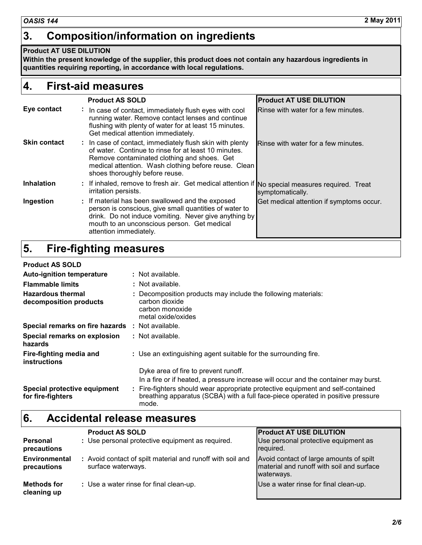## **3. Composition/information on ingredients**

#### **Product AT USE DILUTION**

**Within the present knowledge of the supplier, this product does not contain any hazardous ingredients in quantities requiring reporting, in accordance with local regulations.**

#### **4. First-aid measures**

|                     | <b>Product AS SOLD</b>                                                                                                                                                                                                                                    | <b>Product AT USE DILUTION</b>           |
|---------------------|-----------------------------------------------------------------------------------------------------------------------------------------------------------------------------------------------------------------------------------------------------------|------------------------------------------|
| Eye contact         | : In case of contact, immediately flush eyes with cool<br>running water. Remove contact lenses and continue<br>flushing with plenty of water for at least 15 minutes.<br>Get medical attention immediately.                                               | Rinse with water for a few minutes.      |
| <b>Skin contact</b> | : In case of contact, immediately flush skin with plenty<br>of water. Continue to rinse for at least 10 minutes.<br>Remove contaminated clothing and shoes. Get<br>medical attention. Wash clothing before reuse. Clean<br>shoes thoroughly before reuse. | Rinse with water for a few minutes.      |
| <b>Inhalation</b>   | : If inhaled, remove to fresh air. Get medical attention if No special measures required. Treat<br>irritation persists.                                                                                                                                   | symptomatically.                         |
| Ingestion           | : If material has been swallowed and the exposed<br>person is conscious, give small quantities of water to<br>drink. Do not induce vomiting. Never give anything by<br>mouth to an unconscious person. Get medical<br>attention immediately.              | Get medical attention if symptoms occur. |

## **5. Fire-fighting measures**

#### **Product AS SOLD**

| FIUUUL AJ JULD                                     |                                                                                                                                                                             |
|----------------------------------------------------|-----------------------------------------------------------------------------------------------------------------------------------------------------------------------------|
| <b>Auto-ignition temperature</b>                   | : Not available.                                                                                                                                                            |
| <b>Flammable limits</b>                            | : Not available.                                                                                                                                                            |
| <b>Hazardous thermal</b><br>decomposition products | : Decomposition products may include the following materials:<br>carbon dioxide<br>carbon monoxide<br>metal oxide/oxides                                                    |
| Special remarks on fire hazards                    | : Not available.                                                                                                                                                            |
| Special remarks on explosion<br>hazards            | : Not available.                                                                                                                                                            |
| Fire-fighting media and<br><b>instructions</b>     | : Use an extinguishing agent suitable for the surrounding fire.                                                                                                             |
|                                                    | Dyke area of fire to prevent runoff.                                                                                                                                        |
|                                                    | In a fire or if heated, a pressure increase will occur and the container may burst.                                                                                         |
| Special protective equipment<br>for fire-fighters  | : Fire-fighters should wear appropriate protective equipment and self-contained<br>breathing apparatus (SCBA) with a full face-piece operated in positive pressure<br>mode. |

#### **6. Accidental release measures**

|                                     | <b>Product AS SOLD</b>                                                           | <b>Product AT USE DILUTION</b>                                                                     |  |
|-------------------------------------|----------------------------------------------------------------------------------|----------------------------------------------------------------------------------------------------|--|
| Personal<br>precautions             | : Use personal protective equipment as required.                                 | Use personal protective equipment as<br>required.                                                  |  |
| <b>Environmental</b><br>precautions | : Avoid contact of spilt material and runoff with soil and<br>surface waterways. | Avoid contact of large amounts of spilt<br>material and runoff with soil and surface<br>waterways. |  |
| Methods for<br>cleaning up          | : Use a water rinse for final clean-up.                                          | Use a water rinse for final clean-up.                                                              |  |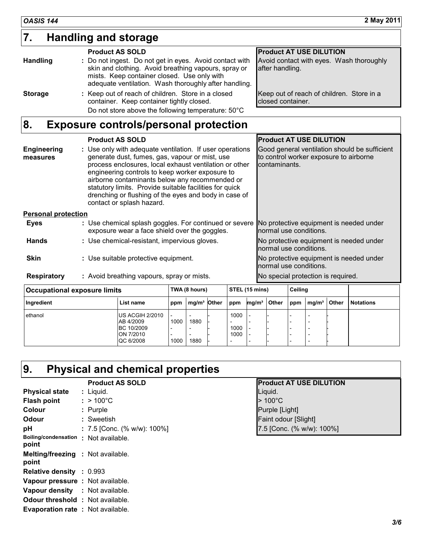## **7. Handling and storage**

|                 | <b>Product AS SOLD</b>                                                                                                                                                                                                  | <b>Product AT USE DILUTION</b>                                 |
|-----------------|-------------------------------------------------------------------------------------------------------------------------------------------------------------------------------------------------------------------------|----------------------------------------------------------------|
| <b>Handling</b> | : Do not ingest. Do not get in eyes. Avoid contact with<br>skin and clothing. Avoid breathing vapours, spray or<br>mists. Keep container closed. Use only with<br>adequate ventilation. Wash thoroughly after handling. | Avoid contact with eyes. Wash thoroughly<br>after handling.    |
| <b>Storage</b>  | : Keep out of reach of children. Store in a closed<br>container. Keep container tightly closed.<br>Do not store above the following temperature: 50°C                                                                   | Keep out of reach of children. Store in a<br>closed container. |

## **8. Exposure controls/personal protection**

|                                | <b>Product AS SOLD</b>                                                                                                                                                                                                                                                                                                                                                                                                     | <b>Product AT USE DILUTION</b>                                                                           |
|--------------------------------|----------------------------------------------------------------------------------------------------------------------------------------------------------------------------------------------------------------------------------------------------------------------------------------------------------------------------------------------------------------------------------------------------------------------------|----------------------------------------------------------------------------------------------------------|
| <b>Engineering</b><br>measures | : Use only with adequate ventilation. If user operations<br>generate dust, fumes, gas, vapour or mist, use<br>process enclosures, local exhaust ventilation or other<br>engineering controls to keep worker exposure to<br>airborne contaminants below any recommended or<br>statutory limits. Provide suitable facilities for quick<br>drenching or flushing of the eyes and body in case of<br>contact or splash hazard. | Good general ventilation should be sufficient<br>to control worker exposure to airborne<br>contaminants. |
| <b>Personal protection</b>     |                                                                                                                                                                                                                                                                                                                                                                                                                            |                                                                                                          |
| Eyes                           | : Use chemical splash goggles. For continued or severe<br>exposure wear a face shield over the goggles.                                                                                                                                                                                                                                                                                                                    | No protective equipment is needed under<br>normal use conditions.                                        |
| <b>Hands</b>                   | : Use chemical-resistant, impervious gloves.                                                                                                                                                                                                                                                                                                                                                                               | No protective equipment is needed under<br>normal use conditions.                                        |
| <b>Skin</b>                    | : Use suitable protective equipment.                                                                                                                                                                                                                                                                                                                                                                                       | No protective equipment is needed under<br>normal use conditions.                                        |
| <b>Respiratory</b>             | : Avoid breathing vapours, spray or mists.                                                                                                                                                                                                                                                                                                                                                                                 | No special protection is required.                                                                       |
|                                | <b>ATT: //T: \\</b><br>$\frac{1}{2}$                                                                                                                                                                                                                                                                                                                                                                                       | - …                                                                                                      |

| <b>Occupational exposure limits</b> |                                                                      |                                          | TWA (8 hours) |  |                                                                              | STEL (15 mins)    |       |     | Ceiling           |       |                  |
|-------------------------------------|----------------------------------------------------------------------|------------------------------------------|---------------|--|------------------------------------------------------------------------------|-------------------|-------|-----|-------------------|-------|------------------|
| Ingredient                          | List name                                                            | ppm                                      | $mq/m3$ Other |  | ppm                                                                          | mg/m <sup>3</sup> | Other | ppm | mg/m <sup>3</sup> | Other | <b>Notations</b> |
| ethanol                             | US ACGIH 2/2010<br>AB 4/2009<br>BC 10/2009<br>ON 7/2010<br>QC 6/2008 | $\overline{\phantom{0}}$<br>1000<br>1000 | 1880<br>1880  |  | 1000<br>$\overline{\phantom{0}}$<br>1000<br>1000<br>$\overline{\phantom{0}}$ |                   |       |     |                   |       |                  |

## **9. Physical and chemical properties**

|                                                   | <b>Product AS SOLD</b>          | <b>Product AT USE DILUTION</b> |
|---------------------------------------------------|---------------------------------|--------------------------------|
| <b>Physical state</b>                             | $:$ Liquid.                     | Liquid.                        |
| <b>Flash point</b>                                | $: > 100^{\circ}$ C             | $>100^{\circ}$ C               |
| <b>Colour</b>                                     | : Purple                        | Purple [Light]                 |
| Odour                                             | : Sweetish                      | Faint odour [Slight]           |
| рH                                                | : 7.5 [Conc. (% w/w): $100\%$ ] | 7.5 [Conc. (% w/w): 100%]      |
| <b>Boiling/condensation</b><br>point              | : Not available.                |                                |
| <b>Melting/freezing : Not available.</b><br>point |                                 |                                |
| <b>Relative density : 0.993</b>                   |                                 |                                |
| Vapour pressure : Not available.                  |                                 |                                |
| <b>Vapour density</b> : Not available.            |                                 |                                |
| <b>Odour threshold : Not available.</b>           |                                 |                                |
| <b>Evaporation rate: Not available.</b>           |                                 |                                |

| <b>Product AS SOLD</b>    | <b>Product AT USE DILUTION</b> |
|---------------------------|--------------------------------|
| Liquid.                   | Liquid.                        |
| $>100^{\circ}$ C          | $>100^{\circ}$ C               |
| Purple                    | Purple [Light]                 |
| Sweetish                  | Faint odour [Slight]           |
| 7.5 [Conc. (% w/w): 100%] | 7.5 [Conc. (% w/w): 100%]      |
| Not available             |                                |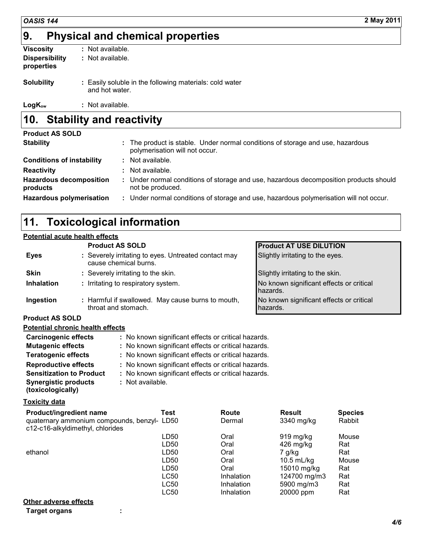## **9. Physical and chemical properties**

| Viscosity                           | : Not available.                                                          |
|-------------------------------------|---------------------------------------------------------------------------|
| <b>Dispersibility</b><br>properties | : Not available.                                                          |
| <b>Solubility</b>                   | : Easily soluble in the following materials: cold water<br>and hot water. |

**LogKow :** Not available.

#### **10. Stability and reactivity**

| <b>Product AS SOLD</b>                     |                                                                                                                  |
|--------------------------------------------|------------------------------------------------------------------------------------------------------------------|
| <b>Stability</b>                           | : The product is stable. Under normal conditions of storage and use, hazardous<br>polymerisation will not occur. |
| <b>Conditions of instability</b>           | $:$ Not available.                                                                                               |
| <b>Reactivity</b>                          | : Not available.                                                                                                 |
| <b>Hazardous decomposition</b><br>products | : Under normal conditions of storage and use, hazardous decomposition products should<br>not be produced.        |
| <b>Hazardous polymerisation</b>            | : Under normal conditions of storage and use, hazardous polymerisation will not occur.                           |

## **11. Toxicological information**

## **Potential acute health effects**

|                        | <b>Product AS SOLD</b>                                                        | <b>Product AT USE DILUTION</b>                       |
|------------------------|-------------------------------------------------------------------------------|------------------------------------------------------|
| <b>Eyes</b>            | : Severely irritating to eyes. Untreated contact may<br>cause chemical burns. | Slightly irritating to the eyes.                     |
| <b>Skin</b>            | : Severely irritating to the skin.                                            | Slightly irritating to the skin.                     |
| <b>Inhalation</b>      | : Irritating to respiratory system.                                           | No known significant effects or critical<br>hazards. |
| Ingestion              | : Harmful if swallowed. May cause burns to mouth,<br>throat and stomach.      | No known significant effects or critical<br>hazards. |
| <b>Product AS SOLD</b> |                                                                               |                                                      |

#### **Potential chronic health effects**

| <b>Carcinogenic effects</b>     | : No known significant effects or critical hazards. |
|---------------------------------|-----------------------------------------------------|
| <b>Mutagenic effects</b>        | : No known significant effects or critical hazards. |
| <b>Teratogenic effects</b>      | : No known significant effects or critical hazards. |
| <b>Reproductive effects</b>     | : No known significant effects or critical hazards. |
| <b>Sensitization to Product</b> | : No known significant effects or critical hazards. |
| <b>Synergistic products</b>     | : Not available.                                    |

**(toxicologically)**

#### **Toxicity data**

| <b>Product/ingredient name</b>                                                  | Test | Route             | <b>Result</b> | <b>Species</b> |
|---------------------------------------------------------------------------------|------|-------------------|---------------|----------------|
| quaternary ammonium compounds, benzyl- LD50<br>c12-c16-alkyldimethyl, chlorides |      | Dermal            | 3340 mg/kg    | Rabbit         |
|                                                                                 | LD50 | Oral              | $919$ mg/kg   | Mouse          |
|                                                                                 | LD50 | Oral              | $426$ mg/kg   | Rat            |
| ethanol                                                                         | LD50 | Oral              | 7 g/kg        | Rat            |
|                                                                                 | LD50 | Oral              | 10.5 $mL/kg$  | Mouse          |
|                                                                                 | LD50 | Oral              | 15010 mg/kg   | Rat            |
|                                                                                 | LC50 | <b>Inhalation</b> | 124700 mg/m3  | Rat            |
|                                                                                 | LC50 | <b>Inhalation</b> | 5900 mg/m3    | Rat            |
|                                                                                 | LC50 | Inhalation        | 20000 ppm     | Rat            |
| Other adverse effects                                                           |      |                   |               |                |

**Target organs :**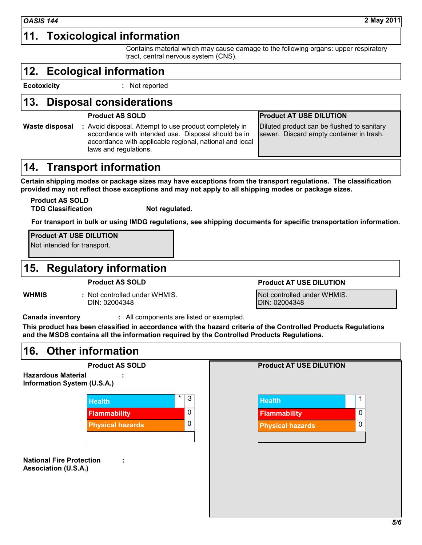#### **11. Toxicological information**

Contains material which may cause damage to the following organs: upper respiratory tract, central nervous system (CNS).

#### **12. Ecological information**

**Ecotoxicity :** Not reported

#### **13. Disposal considerations**

**Waste disposal :** Avoid disposal. Attempt to use product completely in accordance with intended use. Disposal should be in accordance with applicable regional, national and local laws and regulations.

#### **Product AS SOLD Product AT USE DILUTION**

Diluted product can be flushed to sanitary sewer. Discard empty container in trash.

#### **14. Transport information**

**Certain shipping modes or package sizes may have exceptions from the transport regulations. The classification provided may not reflect those exceptions and may not apply to all shipping modes or package sizes.**

**Product AS SOLD TDG Classification Not regulated.**

**For transport in bulk or using IMDG regulations, see shipping documents for specific transportation information.**

**Product AT USE DILUTION**

Not intended for transport.

#### **15. Regulatory information**

**Product AS SOLD Product AT USE DILUTION**

**WHMIS :** Not controlled under WHMIS. DIN: 02004348

Not controlled under WHMIS. DIN: 02004348

**Canada inventory :** All components are listed or exempted.

**This product has been classified in accordance with the hazard criteria of the Controlled Products Regulations and the MSDS contains all the information required by the Controlled Products Regulations.**

#### **16. Other information**

**Product AS SOLD Hazardous Material Information System (U.S.A.) : Flammability** 0 **Flammability** 0 **Physical hazards** 0 **Physical hazards** 0

**National Fire Protection : Association (U.S.A.)**

| $\star$ | 3 | <b>Health</b>           |   |
|---------|---|-------------------------|---|
|         | 0 | <b>Flammability</b>     | 0 |
|         | 0 | <b>Physical hazards</b> | 0 |
|         |   |                         |   |